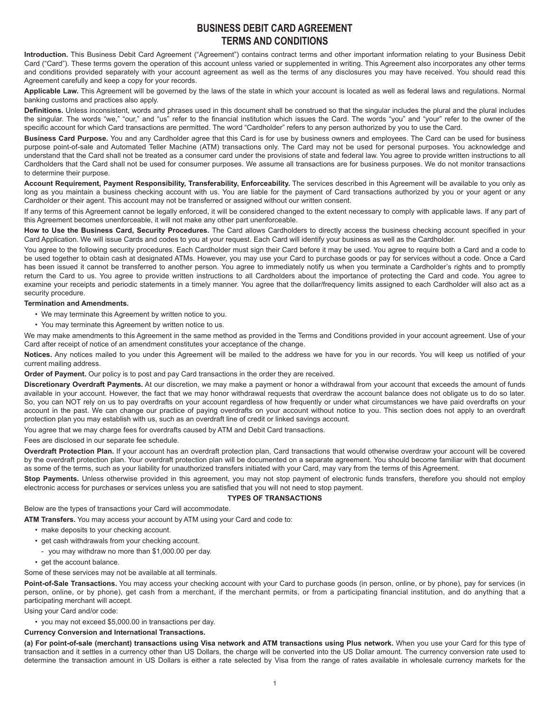# **BUSINESS DEBIT CARD AGREEMENT TERMS AND CONDITIONS**

**Introduction.** This Business Debit Card Agreement ("Agreement") contains contract terms and other important information relating to your Business Debit Card ("Card"). These terms govern the operation of this account unless varied or supplemented in writing. This Agreement also incorporates any other terms and conditions provided separately with your account agreement as well as the terms of any disclosures you may have received. You should read this Agreement carefully and keep a copy for your records.

**Applicable Law.** This Agreement will be governed by the laws of the state in which your account is located as well as federal laws and regulations. Normal banking customs and practices also apply.

**Definitions.** Unless inconsistent, words and phrases used in this document shall be construed so that the singular includes the plural and the plural includes the singular. The words "we," "our," and "us" refer to the financial institution which issues the Card. The words "you" and "your" refer to the owner of the specific account for which Card transactions are permitted. The word "Cardholder" refers to any person authorized by you to use the Card.

**Business Card Purpose.** You and any Cardholder agree that this Card is for use by business owners and employees. The Card can be used for business purpose point-of-sale and Automated Teller Machine (ATM) transactions only. The Card may not be used for personal purposes. You acknowledge and understand that the Card shall not be treated as a consumer card under the provisions of state and federal law. You agree to provide written instructions to all Cardholders that the Card shall not be used for consumer purposes. We assume all transactions are for business purposes. We do not monitor transactions to determine their purpose.

**Account Requirement, Payment Responsibility, Transferability, Enforceability.** The services described in this Agreement will be available to you only as long as you maintain a business checking account with us. You are liable for the payment of Card transactions authorized by you or your agent or any Cardholder or their agent. This account may not be transferred or assigned without our written consent.

If any terms of this Agreement cannot be legally enforced, it will be considered changed to the extent necessary to comply with applicable laws. If any part of this Agreement becomes unenforceable, it will not make any other part unenforceable.

**How to Use the Business Card, Security Procedures.** The Card allows Cardholders to directly access the business checking account specified in your Card Application. We will issue Cards and codes to you at your request. Each Card will identify your business as well as the Cardholder.

You agree to the following security procedures. Each Cardholder must sign their Card before it may be used. You agree to require both a Card and a code to be used together to obtain cash at designated ATMs. However, you may use your Card to purchase goods or pay for services without a code. Once a Card has been issued it cannot be transferred to another person. You agree to immediately notify us when you terminate a Cardholder's rights and to promptly return the Card to us. You agree to provide written instructions to all Cardholders about the importance of protecting the Card and code. You agree to examine your receipts and periodic statements in a timely manner. You agree that the dollar/frequency limits assigned to each Cardholder will also act as a security procedure.

### **Termination and Amendments.**

- We may terminate this Agreement by written notice to you.
- You may terminate this Agreement by written notice to us.

We may make amendments to this Agreement in the same method as provided in the Terms and Conditions provided in your account agreement. Use of your Card after receipt of notice of an amendment constitutes your acceptance of the change.

**Notices.** Any notices mailed to you under this Agreement will be mailed to the address we have for you in our records. You will keep us notified of your current mailing address.

**Order of Payment.** Our policy is to post and pay Card transactions in the order they are received.

**Discretionary Overdraft Payments.** At our discretion, we may make a payment or honor a withdrawal from your account that exceeds the amount of funds available in your account. However, the fact that we may honor withdrawal requests that overdraw the account balance does not obligate us to do so later. So, you can NOT rely on us to pay overdrafts on your account regardless of how frequently or under what circumstances we have paid overdrafts on your account in the past. We can change our practice of paying overdrafts on your account without notice to you. This section does not apply to an overdraft protection plan you may establish with us, such as an overdraft line of credit or linked savings account.

You agree that we may charge fees for overdrafts caused by ATM and Debit Card transactions.

Fees are disclosed in our separate fee schedule.

**Overdraft Protection Plan.** If your account has an overdraft protection plan, Card transactions that would otherwise overdraw your account will be covered by the overdraft protection plan. Your overdraft protection plan will be documented on a separate agreement. You should become familiar with that document as some of the terms, such as your liability for unauthorized transfers initiated with your Card, may vary from the terms of this Agreement.

Stop Payments. Unless otherwise provided in this agreement, you may not stop payment of electronic funds transfers, therefore you should not employ electronic access for purchases or services unless you are satisfied that you will not need to stop payment.

#### **TYPES OF TRANSACTIONS**

Below are the types of transactions your Card will accommodate.

**ATM Transfers.** You may access your account by ATM using your Card and code to:

- make deposits to your checking account.
- get cash withdrawals from your checking account.
- you may withdraw no more than \$1,000.00 per day.
- get the account balance.

Some of these services may not be available at all terminals.

Point-of-Sale Transactions. You may access your checking account with your Card to purchase goods (in person, online, or by phone), pay for services (in person, online, or by phone), get cash from a merchant, if the merchant permits, or from a participating financial institution, and do anything that a participating merchant will accept.

Using your Card and/or code:

• you may not exceed \$5,000.00 in transactions per day.

#### **Currency Conversion and International Transactions.**

**(a) For point-of-sale (merchant) transactions using Visa network and ATM transactions using Plus network.** When you use your Card for this type of transaction and it settles in a currency other than US Dollars, the charge will be converted into the US Dollar amount. The currency conversion rate used to determine the transaction amount in US Dollars is either a rate selected by Visa from the range of rates available in wholesale currency markets for the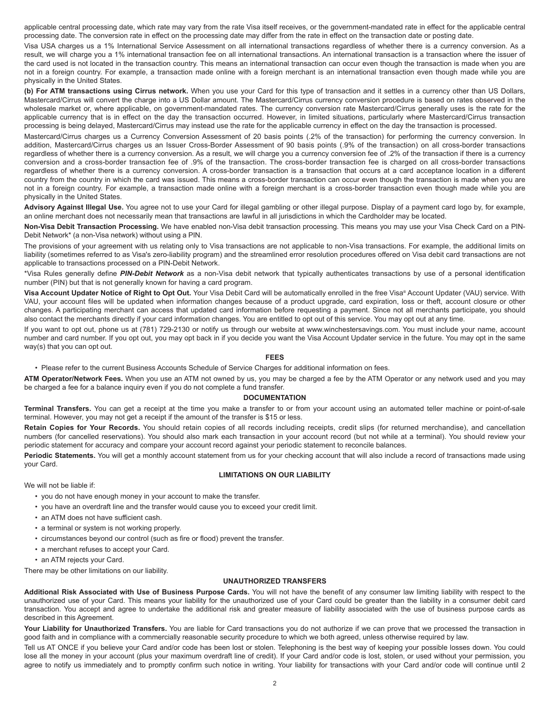applicable central processing date, which rate may vary from the rate Visa itself receives, or the government-mandated rate in effect for the applicable central processing date. The conversion rate in effect on the processing date may differ from the rate in effect on the transaction date or posting date.

Visa USA charges us a 1% International Service Assessment on all international transactions regardless of whether there is a currency conversion. As a result, we will charge you a 1% international transaction fee on all international transactions. An international transaction is a transaction where the issuer of the card used is not located in the transaction country. This means an international transaction can occur even though the transaction is made when you are not in a foreign country. For example, a transaction made online with a foreign merchant is an international transaction even though made while you are physically in the United States.

**(b) For ATM transactions using Cirrus network.** When you use your Card for this type of transaction and it settles in a currency other than US Dollars, Mastercard/Cirrus will convert the charge into a US Dollar amount. The Mastercard/Cirrus currency conversion procedure is based on rates observed in the wholesale market or, where applicable, on government-mandated rates. The currency conversion rate Mastercard/Cirrus generally uses is the rate for the applicable currency that is in effect on the day the transaction occurred. However, in limited situations, particularly where Mastercard/Cirrus transaction processing is being delayed, Mastercard/Cirrus may instead use the rate for the applicable currency in effect on the day the transaction is processed.

Mastercard/Cirrus charges us a Currency Conversion Assessment of 20 basis points (.2% of the transaction) for performing the currency conversion. In addition, Mastercard/Cirrus charges us an Issuer Cross-Border Assessment of 90 basis points (.9% of the transaction) on all cross-border transactions regardless of whether there is a currency conversion. As a result, we will charge you a currency conversion fee of .2% of the transaction if there is a currency conversion and a cross-border transaction fee of .9% of the transaction. The cross-border transaction fee is charged on all cross-border transactions regardless of whether there is a currency conversion. A cross-border transaction is a transaction that occurs at a card acceptance location in a different country from the country in which the card was issued. This means a cross-border transaction can occur even though the transaction is made when you are not in a foreign country. For example, a transaction made online with a foreign merchant is a cross-border transaction even though made while you are physically in the United States.

Advisory Against Illegal Use. You agree not to use your Card for illegal gambling or other illegal purpose. Display of a payment card logo by, for example, an online merchant does not necessarily mean that transactions are lawful in all jurisdictions in which the Cardholder may be located.

**Non-Visa Debit Transaction Processing.** We have enabled non-Visa debit transaction processing. This means you may use your Visa Check Card on a PIN-Debit Network\* (a non-Visa network) without using a PIN.

The provisions of your agreement with us relating only to Visa transactions are not applicable to non-Visa transactions. For example, the additional limits on liability (sometimes referred to as Visa's zero-liability program) and the streamlined error resolution procedures offered on Visa debit card transactions are not applicable to transactions processed on a PIN-Debit Network.

\*Visa Rules generally define *PIN-Debit Network* as a non-Visa debit network that typically authenticates transactions by use of a personal identification number (PIN) but that is not generally known for having a card program.

**Visa Account Updater Notice of Right to Opt Out.** Your Visa Debit Card will be automatically enrolled in the free Visa® Account Updater (VAU) service. With VAU, your account files will be updated when information changes because of a product upgrade, card expiration, loss or theft, account closure or other changes. A participating merchant can access that updated card information before requesting a payment. Since not all merchants participate, you should also contact the merchants directly if your card information changes. You are entitled to opt out of this service. You may opt out at any time.

If you want to opt out, phone us at (781) 729-2130 or notify us through our website at www.winchestersavings.com. You must include your name, account number and card number. If you opt out, you may opt back in if you decide you want the Visa Account Updater service in the future. You may opt in the same way(s) that you can opt out.

#### **FEES**

• Please refer to the current Business Accounts Schedule of Service Charges for additional information on fees.

**ATM Operator/Network Fees.** When you use an ATM not owned by us, you may be charged a fee by the ATM Operator or any network used and you may be charged a fee for a balance inquiry even if you do not complete a fund transfer.

#### **DOCUMENTATION**

**Terminal Transfers.** You can get a receipt at the time you make a transfer to or from your account using an automated teller machine or point-of-sale terminal. However, you may not get a receipt if the amount of the transfer is \$15 or less.

**Retain Copies for Your Records.** You should retain copies of all records including receipts, credit slips (for returned merchandise), and cancellation numbers (for cancelled reservations). You should also mark each transaction in your account record (but not while at a terminal). You should review your periodic statement for accuracy and compare your account record against your periodic statement to reconcile balances.

Periodic Statements. You will get a monthly account statement from us for your checking account that will also include a record of transactions made using your Card.

## **LIMITATIONS ON OUR LIABILITY**

We will not be liable if:

- you do not have enough money in your account to make the transfer.
- you have an overdraft line and the transfer would cause you to exceed your credit limit.
- an ATM does not have sufficient cash.
- a terminal or system is not working properly.
- circumstances beyond our control (such as fire or flood) prevent the transfer.
- a merchant refuses to accept your Card.
- an ATM rejects your Card.

There may be other limitations on our liability.

# **UNAUTHORIZED TRANSFERS**

**Additional Risk Associated with Use of Business Purpose Cards.** You will not have the benefit of any consumer law limiting liability with respect to the unauthorized use of your Card. This means your liability for the unauthorized use of your Card could be greater than the liability in a consumer debit card transaction. You accept and agree to undertake the additional risk and greater measure of liability associated with the use of business purpose cards as described in this Agreement.

Your Liability for Unauthorized Transfers. You are liable for Card transactions you do not authorize if we can prove that we processed the transaction in good faith and in compliance with a commercially reasonable security procedure to which we both agreed, unless otherwise required by law.

Tell us AT ONCE if you believe your Card and/or code has been lost or stolen. Telephoning is the best way of keeping your possible losses down. You could lose all the money in your account (plus your maximum overdraft line of credit). If your Card and/or code is lost, stolen, or used without your permission, you agree to notify us immediately and to promptly confirm such notice in writing. Your liability for transactions with your Card and/or code will continue until 2